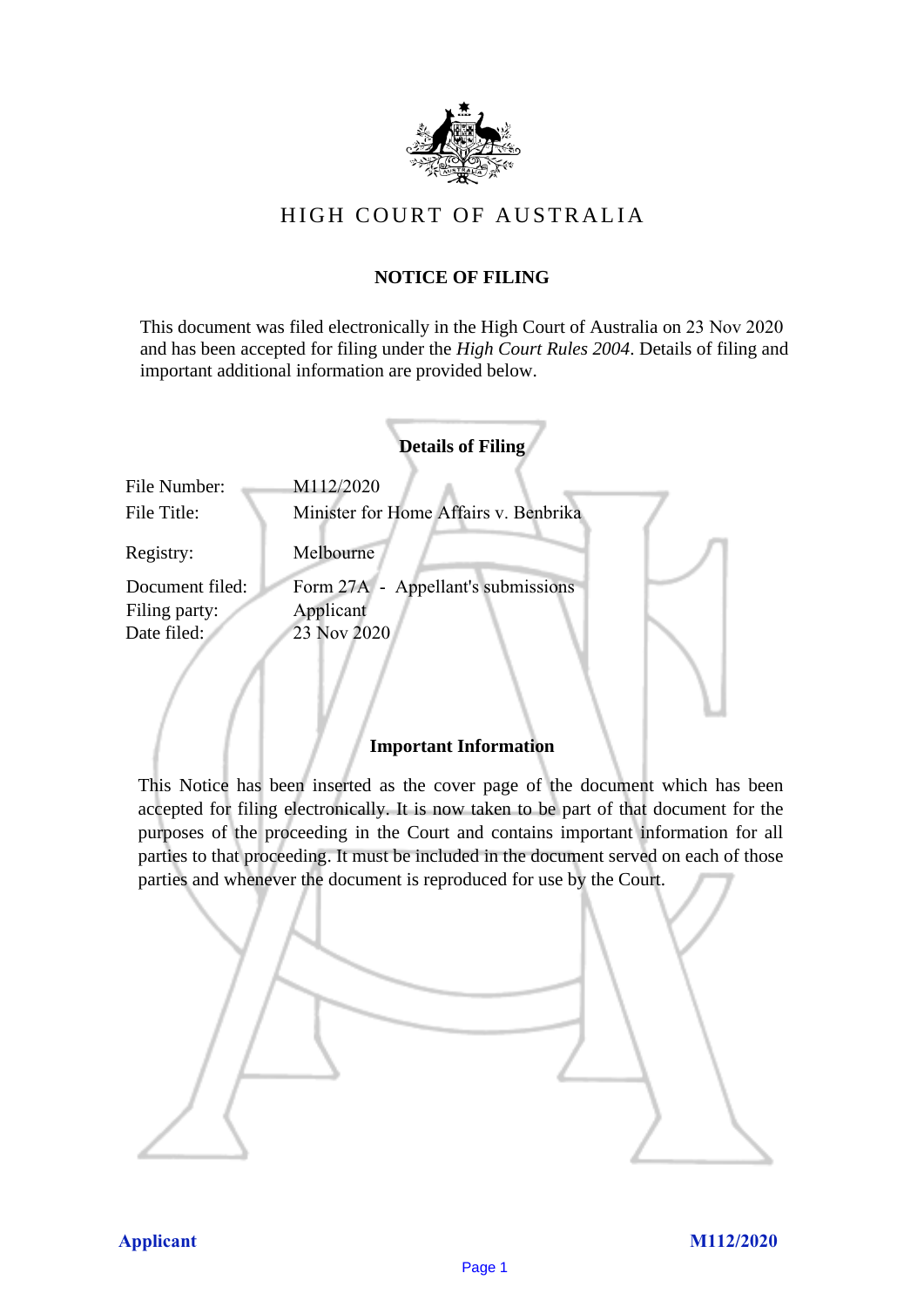

## HIGH COURT OF AU STRALIA HIGH COURT OF AUSTRALIA

### **NOTICE OF FILING** NOTICE OF FILING

This document was filed electronically in the High Court of Australia on 23 Nov 2020 This document was filed electronically in the High Court of Australia 20 and has been accepted for filing under the *High Court Rules 2004*. Details of filing and important additional information are provided below. important additional information are provided below.

|                             | <b>Details of Filing</b>                           |
|-----------------------------|----------------------------------------------------|
| File Number:<br>File Title: | M112/2020<br>Minister for Home Affairs v. Benbrika |
| Registry:                   | Melbourne                                          |
| Document filed:             | Form 27A - Appellant's submissions                 |
| Filing party:               | Applicant                                          |
| Date filed:                 | 23 Nov 2020                                        |
|                             |                                                    |

#### **Important Information** Important Information

This Notice has been inserted as the cover page of the document which has been accepted for filing electronically. It is now taken to be part of that document for the purposes of the proceeding in the Court and contains important information for all parties to that proceeding. It must be included in the document served on each of those parties and whenever the document is reproduced for use by the Court. parties and whenever the document is reproduced for use by the Court

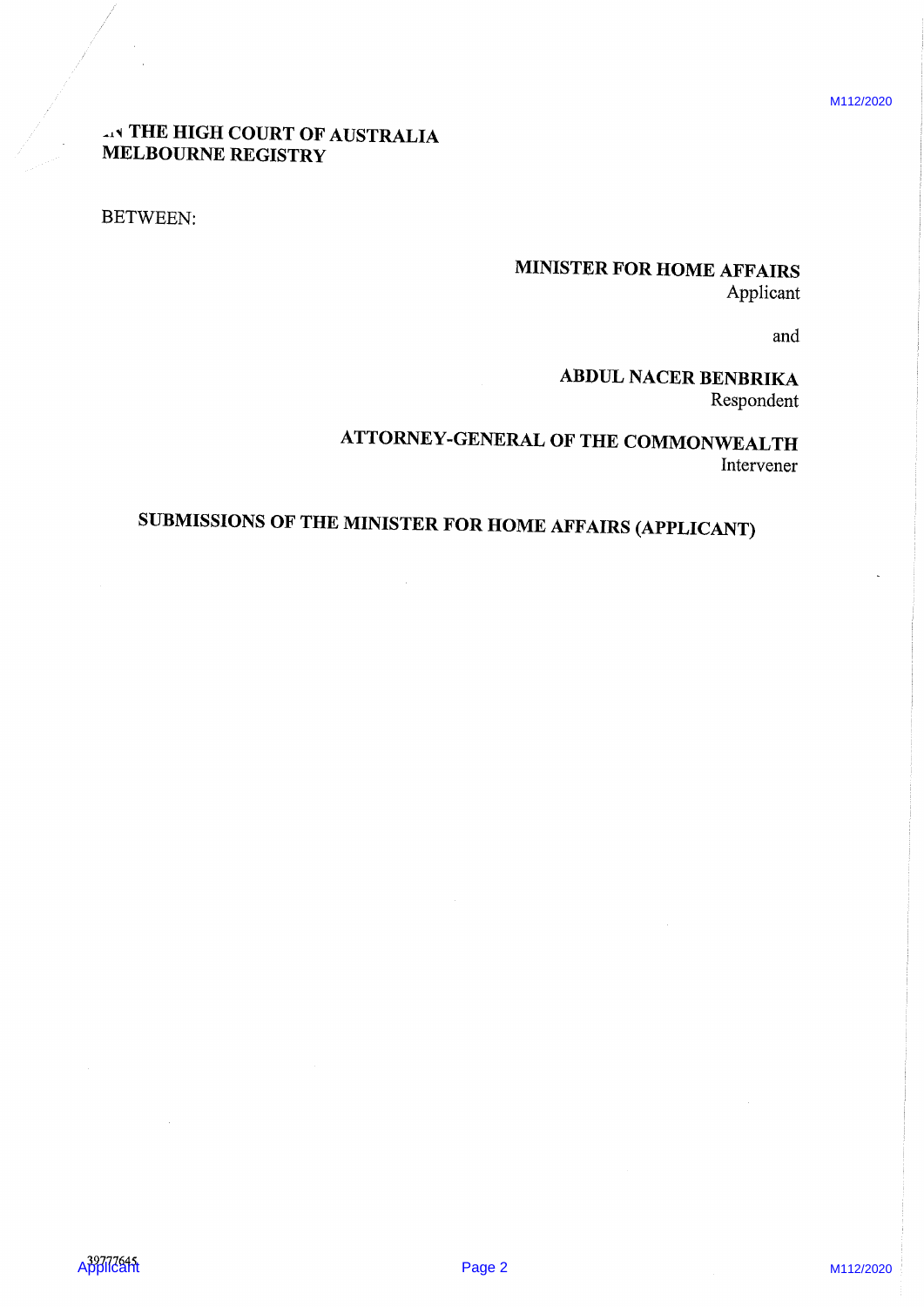M112/2020

## **AN THE HIGH COURT OF AUSTRALIA** MELBOURNE REGISTRY

BETWEEN:

## MINISTER FOR HOME AFFAIRS Applicant

and

ABDUL NACER BENBRIKA Respondent

A THE HIGH COLRY OF AUSTRALIA<br>
ANNISTICAL PORTION AFFAIRS<br>
APPLICANTS:<br>
APPLICANTS<br>
ATTOURNEY-CENERAL OF THE COMMONORAL RESPONSE<br>
ATTOURNEY-CENERAL OF THE COMMONORAL RESPONSE<br>
SUBMISSIONS OF THE MINISTRA FOR HOME AFFAIRS ( ATTORNEY-GENERAL OF THE COMMONWEALTH Intervener

# SUBMISSIONS OF THE MINISTER FOR HOME AFFAIRS (APPLICANT)